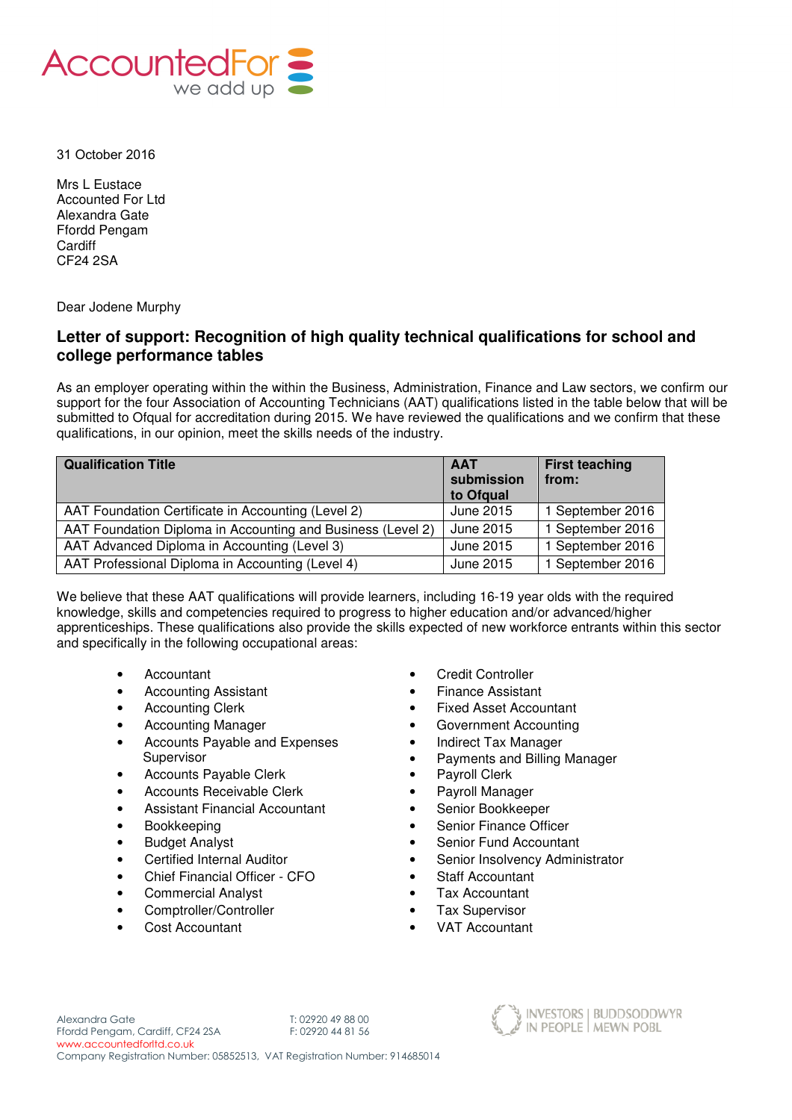

31 October 2016

Mrs L Eustace Accounted For Ltd Alexandra Gate Ffordd Pengam **Cardiff** CF24 2SA

Dear Jodene Murphy

## **Letter of support: Recognition of high quality technical qualifications for school and college performance tables**

As an employer operating within the within the Business, Administration, Finance and Law sectors, we confirm our support for the four Association of Accounting Technicians (AAT) qualifications listed in the table below that will be submitted to Ofqual for accreditation during 2015. We have reviewed the qualifications and we confirm that these qualifications, in our opinion, meet the skills needs of the industry.

| <b>Qualification Title</b>                                  | <b>AAT</b><br>submission<br>to Ofgual | <b>First teaching</b><br>from: |
|-------------------------------------------------------------|---------------------------------------|--------------------------------|
| AAT Foundation Certificate in Accounting (Level 2)          | June 2015                             | 1 September 2016               |
| AAT Foundation Diploma in Accounting and Business (Level 2) | June 2015                             | 1 September 2016               |
| AAT Advanced Diploma in Accounting (Level 3)                | June 2015                             | 1 September 2016               |
| AAT Professional Diploma in Accounting (Level 4)            | June 2015                             | 1 September 2016               |

We believe that these AAT qualifications will provide learners, including 16-19 year olds with the required knowledge, skills and competencies required to progress to higher education and/or advanced/higher apprenticeships. These qualifications also provide the skills expected of new workforce entrants within this sector and specifically in the following occupational areas:

- 
- Accounting Assistant **•** Finance Assistant
- 
- 
- Accounts Payable and Expenses **Supervisor**
- Accounts Payable Clerk Payroll Clerk
- Accounts Receivable Clerk Payroll Manager
- Assistant Financial Accountant Senior Bookkeeper
- 
- 
- 
- Chief Financial Officer CFO Staff Accountant
- Commercial Analyst **•** Tax Accountant
- Comptroller/Controller Tax Supervisor
- 
- Accountant Credit Controller
	-
- Accounting Clerk  **Fixed Asset Accountant**
- Accounting Manager **•** Government Accounting
	- Indirect Tax Manager
	- Payments and Billing Manager
	-
	-
	-
- Bookkeeping Senior Finance Officer
- **Budget Analyst Senior Fund Accountant**
- Certified Internal Auditor **•** Senior Insolvency Administrator
	-
	-
	-
- Cost Accountant  **VAT Accountant**